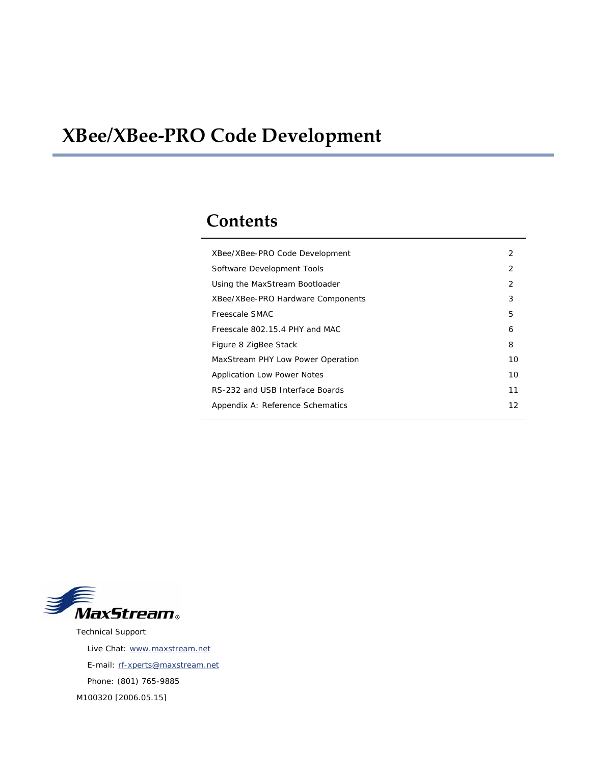# **XBee/XBee‐PRO Code Development**

## **Contents**

| XBee/XBee-PRO Code Development     | 2             |
|------------------------------------|---------------|
| Software Development Tools         | $\mathcal{P}$ |
| Using the MaxStream Bootloader     | 2             |
| XBee/XBee-PRO Hardware Components  | 3             |
| Freescale SMAC                     | 5             |
| Freescale 802.15.4 PHY and MAC     | 6             |
| Figure 8 ZigBee Stack              | 8             |
| MaxStream PHY Low Power Operation  | 10            |
| <b>Application Low Power Notes</b> | 10            |
| RS-232 and USB Interface Boards    | 11            |
| Appendix A: Reference Schematics   | 12            |
|                                    |               |



Technical Support Live Chat: [www.maxstream.net](http://www.maxstream.net/) E-mail: rf-xperts@maxstream.net Phone: (801) 765-9885 M100320 [2006.05.15]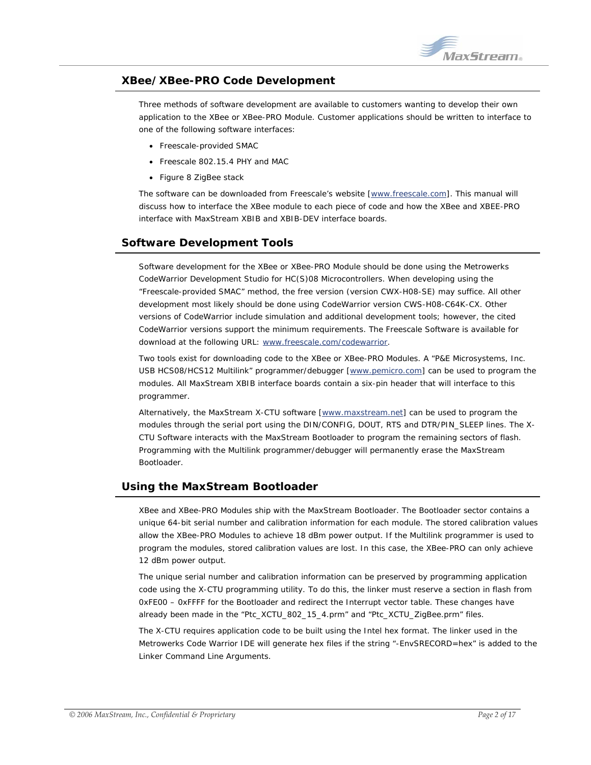

## <span id="page-1-0"></span>**XBee/XBee-PRO Code Development**

Three methods of software development are available to customers wanting to develop their own application to the XBee or XBee-PRO Module. Customer applications should be written to interface to one of the following software interfaces:

- Freescale-provided SMAC
- Freescale 802.15.4 PHY and MAC
- Figure 8 ZigBee stack

The software can be downloaded from Freescale's website [[www.freescale.com\]](http://www.freescale.com/). This manual will discuss how to interface the XBee module to each piece of code and how the XBee and XBEE-PRO interface with MaxStream XBIB and XBIB-DEV interface boards.

## **Software Development Tools**

Software development for the XBee or XBee-PRO Module should be done using the Metrowerks CodeWarrior Development Studio for HC(S)08 Microcontrollers. When developing using the "Freescale-provided SMAC" method, the free version (version CWX-H08-SE) may suffice. All other development most likely should be done using CodeWarrior version CWS-H08-C64K-CX. Other versions of CodeWarrior include simulation and additional development tools; however, the cited CodeWarrior versions support the minimum requirements. The Freescale Software is available for download at the following URL: [www.freescale.com/codewarrior.](http://www.freescale.com/codewarrior)

Two tools exist for downloading code to the XBee or XBee-PRO Modules. A "P&E Microsystems, Inc. USB HCS08/HCS12 Multilink" programmer/debugger [[www.pemicro.com](http://www.pemicro.com/)] can be used to program the modules. All MaxStream XBIB interface boards contain a six-pin header that will interface to this programmer.

Alternatively, the MaxStream X-CTU software [[www.maxstream.net\]](http://www.maxstream.net/) can be used to program the modules through the serial port using the DIN/CONFIG, DOUT, RTS and DTR/PIN\_SLEEP lines. The X-CTU Software interacts with the MaxStream Bootloader to program the remaining sectors of flash. Programming with the Multilink programmer/debugger will permanently erase the MaxStream Bootloader.

## **Using the MaxStream Bootloader**

XBee and XBee-PRO Modules ship with the MaxStream Bootloader. The Bootloader sector contains a unique 64-bit serial number and calibration information for each module. The stored calibration values allow the XBee-PRO Modules to achieve 18 dBm power output. If the Multilink programmer is used to program the modules, stored calibration values are lost. In this case, the XBee-PRO can only achieve 12 dBm power output.

The unique serial number and calibration information can be preserved by programming application code using the X-CTU programming utility. To do this, the linker must reserve a section in flash from 0xFE00 – 0xFFFF for the Bootloader and redirect the Interrupt vector table. These changes have already been made in the "Ptc\_XCTU\_802\_15\_4.prm" and "Ptc\_XCTU\_ZigBee.prm" files.

The X-CTU requires application code to be built using the Intel hex format. The linker used in the Metrowerks Code Warrior IDE will generate hex files if the string "-EnvSRECORD=hex" is added to the Linker Command Line Arguments.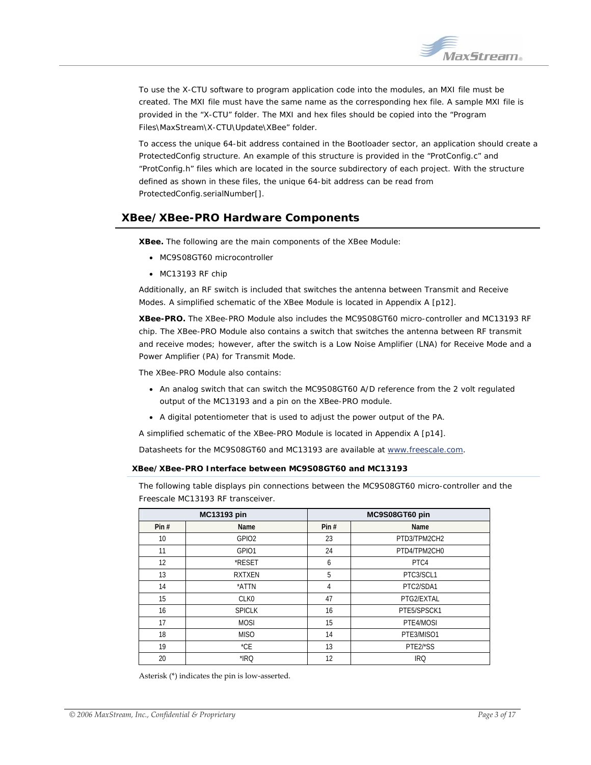

<span id="page-2-0"></span>To use the X-CTU software to program application code into the modules, an MXI file must be created. The MXI file must have the same name as the corresponding hex file. A sample MXI file is provided in the "X-CTU" folder. The MXI and hex files should be copied into the "Program Files\MaxStream\X-CTU\Update\XBee" folder.

To access the unique 64-bit address contained in the Bootloader sector, an application should create a ProtectedConfig structure. An example of this structure is provided in the "ProtConfig.c" and "ProtConfig.h" files which are located in the source subdirectory of each project. With the structure defined as shown in these files, the unique 64-bit address can be read from ProtectedConfig.serialNumber[].

## **XBee/XBee-PRO Hardware Components**

**XBee.** The following are the main components of the XBee Module:

- MC9S08GT60 microcontroller
- MC13193 RF chip

Additionally, an RF switch is included that switches the antenna between Transmit and Receive Modes. A simplified schematic of the XBee Module is located in Appendix A [[p12\]](#page-11-1).

**XBee-PRO.** The XBee-PRO Module also includes the MC9S08GT60 micro-controller and MC13193 RF chip. The XBee-PRO Module also contains a switch that switches the antenna between RF transmit and receive modes; however, after the switch is a Low Noise Amplifier (LNA) for Receive Mode and a Power Amplifier (PA) for Transmit Mode.

The XBee-PRO Module also contains:

- An analog switch that can switch the MC9S08GT60 A/D reference from the 2 volt regulated output of the MC13193 and a pin on the XBee-PRO module.
- A digital potentiometer that is used to adjust the power output of the PA.

A simplified schematic of the XBee-PRO Module is located in Appendix A [p[14\]](#page-13-0).

Datasheets for the MC9S08GT60 and MC13193 are available at [www.freescale.com.](http://www.freescale.com/)

#### **XBee/XBee-PRO Interface between MC9S08GT60 and MC13193**

The following table displays pin connections between the MC9S08GT60 micro-controller and the Freescale MC13193 RF transceiver.

| <b>MC13193 pin</b> |                   |                | MC9S08GT60 pin |
|--------------------|-------------------|----------------|----------------|
| Pin#               | Name              | Pin#           | Name           |
| 10                 | GPIO <sub>2</sub> | 23             | PTD3/TPM2CH2   |
| 11                 | GPI01             | 24             | PTD4/TPM2CH0   |
| 12                 | *RESET            | 6              | PTC4           |
| 13                 | <b>RXTXEN</b>     | 5              | PTC3/SCL1      |
| 14                 | *ATTN             | $\overline{4}$ | PTC2/SDA1      |
| 15                 | CLK <sub>0</sub>  | 47             | PTG2/EXTAL     |
| 16                 | <b>SPICLK</b>     | 16             | PTE5/SPSCK1    |
| 17                 | <b>MOSI</b>       | 15             | PTE4/MOSI      |
| 18                 | <b>MISO</b>       | 14             | PTE3/MISO1     |
| 19                 | $^{\star}$ CE     | 13             | PTE2/*SS       |
| 20                 | *IRQ              | 12             | <b>IRQ</b>     |

Asterisk (\*) indicates the pin is low‐asserted.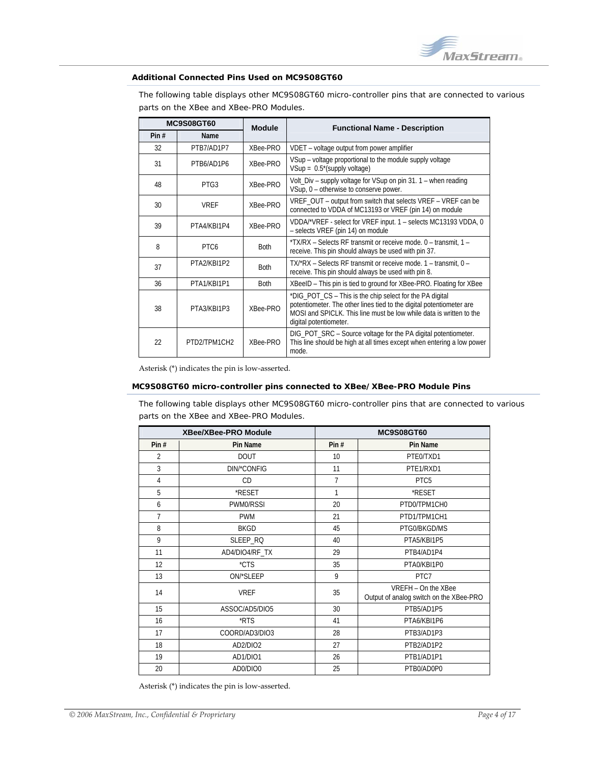

#### **Additional Connected Pins Used on MC9S08GT60**

The following table displays other MC9S08GT60 micro-controller pins that are connected to various parts on the XBee and XBee-PRO Modules.

| <b>MC9S08GT60</b> |                  | <b>Module</b> | <b>Functional Name - Description</b>                                                                                                                                                                                              |
|-------------------|------------------|---------------|-----------------------------------------------------------------------------------------------------------------------------------------------------------------------------------------------------------------------------------|
| Pin#              | <b>Name</b>      |               |                                                                                                                                                                                                                                   |
| 32                | PTB7/AD1P7       | XBee-PRO      | VDET - voltage output from power amplifier                                                                                                                                                                                        |
| 31                | PTR6/AD1P6       | XBee-PRO      | VSup - voltage proportional to the module supply voltage<br>$VSup = 0.5^{*}$ (supply voltage)                                                                                                                                     |
| 48                | PTG3             | XBee-PRO      | Volt_Div - supply voltage for VSup on pin 31. 1 - when reading<br>VSup, 0 - otherwise to conserve power.                                                                                                                          |
| 30                | <b>VREF</b>      | XBee-PRO      | VREF_OUT - output from switch that selects VREF - VREF can be<br>connected to VDDA of MC13193 or VREF (pin 14) on module                                                                                                          |
| 39                | PTA4/KBI1P4      | XBee-PRO      | VDDA/*VREF - select for VREF input. 1 - selects MC13193 VDDA, 0<br>- selects VREF (pin 14) on module                                                                                                                              |
| 8                 | PTC <sub>6</sub> | <b>Both</b>   | *TX/RX – Selects RF transmit or receive mode, 0 – transmit, 1 –<br>receive. This pin should always be used with pin 37.                                                                                                           |
| 37                | PTA2/KBI1P2      | <b>Both</b>   | TX/*RX – Selects RF transmit or receive mode. 1 – transmit, 0 –<br>receive. This pin should always be used with pin 8.                                                                                                            |
| 36                | PTA1/KBI1P1      | <b>Both</b>   | XBeeID - This pin is tied to ground for XBee-PRO. Floating for XBee                                                                                                                                                               |
| 38                | PTA3/KBI1P3      | XBee-PRO      | *DIG_POT_CS - This is the chip select for the PA digital<br>potentiometer. The other lines tied to the digital potentiometer are<br>MOSI and SPICLK. This line must be low while data is written to the<br>digital potentiometer. |
| 22                | PTD2/TPM1CH2     | XBee-PRO      | DIG_POT_SRC - Source voltage for the PA digital potentiometer.<br>This line should be high at all times except when entering a low power<br>mode.                                                                                 |

Asterisk (\*) indicates the pin is low‐asserted.

#### **MC9S08GT60 micro-controller pins connected to XBee/XBee-PRO Module Pins**

The following table displays other MC9S08GT60 micro-controller pins that are connected to various parts on the XBee and XBee-PRO Modules.

| <b>XBee/XBee-PRO Module</b> |                |                | <b>MC9S08GT60</b>                                              |
|-----------------------------|----------------|----------------|----------------------------------------------------------------|
| Pin $#$                     | Pin Name       | Pin $#$        | Pin Name                                                       |
| $\overline{2}$              | <b>DOUT</b>    | 10             | PTE0/TXD1                                                      |
| 3                           | DIN/*CONFIG    | 11             | PTE1/RXD1                                                      |
| $\overline{4}$              | CD             | $\overline{7}$ | PTC5                                                           |
| 5                           | *RESET         | 1              | *RESET                                                         |
| 6                           | PWM0/RSSI      | 20             | PTD0/TPM1CH0                                                   |
| 7                           | <b>PWM</b>     | 21             | PTD1/TPM1CH1                                                   |
| 8                           | <b>BKGD</b>    | 45             | PTG0/BKGD/MS                                                   |
| 9                           | SLEEP_RQ       | 40             | PTA5/KBI1P5                                                    |
| 11                          | AD4/DIO4/RF_TX | 29             | PTB4/AD1P4                                                     |
| 12                          | *CTS           | 35             | PTA0/KBI1P0                                                    |
| 13                          | ON/*SLEEP      | 9              | PTC7                                                           |
| 14                          | <b>VREF</b>    | 35             | VREFH - On the XBee<br>Output of analog switch on the XBee-PRO |
| 15                          | ASSOC/AD5/DIO5 | 30             | PTB5/AD1P5                                                     |
| 16                          | *RTS           | 41             | PTA6/KBI1P6                                                    |
| 17                          | COORD/AD3/DIO3 | 28             | PTB3/AD1P3                                                     |
| 18                          | AD2/DIO2       | 27             | PTB2/AD1P2                                                     |
| 19                          | AD1/DIO1       | 26             | PTB1/AD1P1                                                     |
| 20                          | AD0/DIO0       | 25             | PTB0/AD0P0                                                     |

Asterisk (\*) indicates the pin is low‐asserted.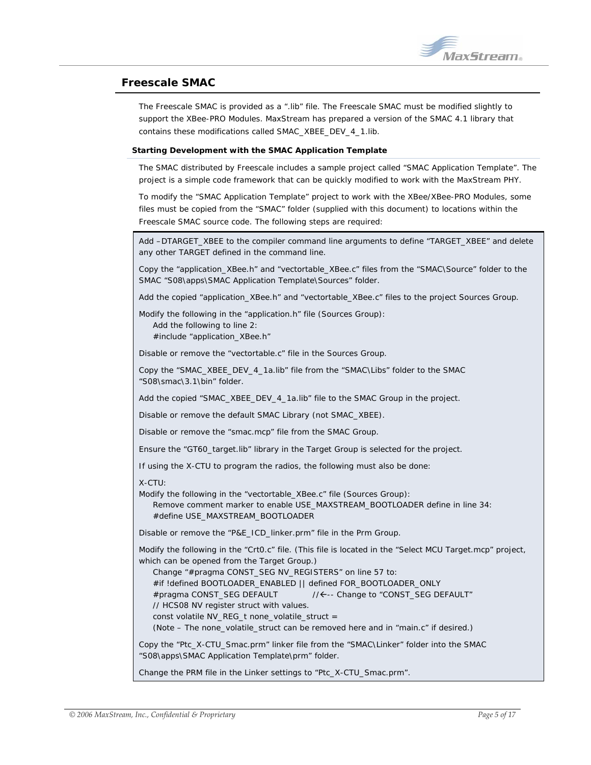

## <span id="page-4-0"></span>**Freescale SMAC**

The Freescale SMAC is provided as a ".lib" file. The Freescale SMAC must be modified slightly to support the XBee-PRO Modules. MaxStream has prepared a version of the SMAC 4.1 library that contains these modifications called SMAC\_XBEE\_DEV\_4\_1.lib.

#### **Starting Development with the SMAC Application Template**

The SMAC distributed by Freescale includes a sample project called "SMAC Application Template". The project is a simple code framework that can be quickly modified to work with the MaxStream PHY.

To modify the "SMAC Application Template" project to work with the XBee/XBee-PRO Modules, some files must be copied from the "SMAC" folder (supplied with this document) to locations within the Freescale SMAC source code. The following steps are required:

Add –DTARGET\_XBEE to the compiler command line arguments to define "TARGET\_XBEE" and delete any other TARGET defined in the command line.

Copy the "application\_XBee.h" and "vectortable\_XBee.c" files from the "SMAC\Source" folder to the SMAC "S08\apps\SMAC Application Template\Sources" folder.

Add the copied "application\_XBee.h" and "vectortable\_XBee.c" files to the project Sources Group.

Modify the following in the "application.h" file (Sources Group):

 Add the following to line 2: #include "application XBee.h"

Disable or remove the "vectortable.c" file in the Sources Group.

Copy the "SMAC\_XBEE\_DEV\_4\_1a.lib" file from the "SMAC\Libs" folder to the SMAC "S08\smac\3.1\bin" folder.

Add the copied "SMAC\_XBEE\_DEV\_4\_1a.lib" file to the SMAC Group in the project.

Disable or remove the default SMAC Library (not SMAC\_XBEE).

Disable or remove the "smac.mcp" file from the SMAC Group.

Ensure the "GT60\_target.lib" library in the Target Group is selected for the project.

If using the X-CTU to program the radios, the following must also be done:

#### X-CTU:

Modify the following in the "vectortable\_XBee.c" file (Sources Group):

 Remove comment marker to enable USE\_MAXSTREAM\_BOOTLOADER define in line 34: #define USE\_MAXSTREAM\_BOOTLOADER

Disable or remove the "P&E\_ICD\_linker.prm" file in the Prm Group.

Modify the following in the "Crt0.c" file. (This file is located in the "Select MCU Target.mcp" project, which can be opened from the Target Group.)

Change "#pragma CONST\_SEG NV\_REGISTERS" on line 57 to:

#if !defined BOOTLOADER\_ENABLED || defined FOR\_BOOTLOADER\_ONLY

#pragma CONST\_SEG DEFAULT //←-- Change to "CONST\_SEG DEFAULT"

// HCS08 NV register struct with values.

const volatile NV\_REG\_t none\_volatile\_struct =

(Note – The none\_volatile\_struct can be removed here and in "main.c" if desired.)

Copy the "Ptc\_X-CTU\_Smac.prm" linker file from the "SMAC\Linker" folder into the SMAC "S08\apps\SMAC Application Template\prm" folder.

Change the PRM file in the Linker settings to "Ptc\_X-CTU\_Smac.prm".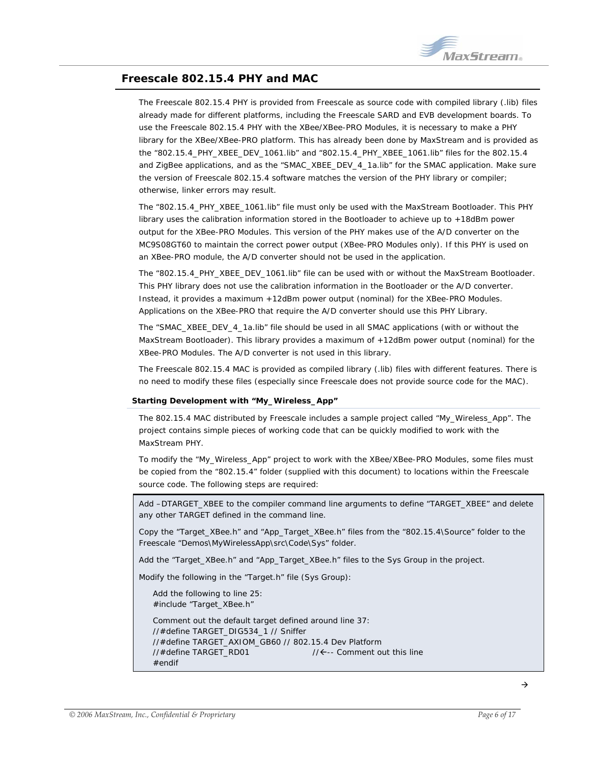

## <span id="page-5-0"></span>**Freescale 802.15.4 PHY and MAC**

The Freescale 802.15.4 PHY is provided from Freescale as source code with compiled library (.lib) files already made for different platforms, including the Freescale SARD and EVB development boards. To use the Freescale 802.15.4 PHY with the XBee/XBee-PRO Modules, it is necessary to make a PHY library for the XBee/XBee-PRO platform. This has already been done by MaxStream and is provided as the "802.15.4\_PHY\_XBEE\_DEV\_1061.lib" and "802.15.4\_PHY\_XBEE\_1061.lib" files for the 802.15.4 and ZigBee applications, and as the "SMAC\_XBEE\_DEV\_4\_1a.lib" for the SMAC application. Make sure the version of Freescale 802.15.4 software matches the version of the PHY library or compiler; otherwise, linker errors may result.

The "802.15.4 PHY\_XBEE\_1061.lib" file must only be used with the MaxStream Bootloader. This PHY library uses the calibration information stored in the Bootloader to achieve up to +18dBm power output for the XBee-PRO Modules. This version of the PHY makes use of the A/D converter on the MC9S08GT60 to maintain the correct power output (XBee-PRO Modules only). If this PHY is used on an XBee-PRO module, the A/D converter should not be used in the application.

The "802.15.4 PHY XBEE DEV 1061.lib" file can be used with or without the MaxStream Bootloader. This PHY library does not use the calibration information in the Bootloader or the A/D converter. Instead, it provides a maximum +12dBm power output (nominal) for the XBee-PRO Modules. Applications on the XBee-PRO that require the A/D converter should use this PHY Library.

The "SMAC\_XBEE\_DEV\_4\_1a.lib" file should be used in all SMAC applications (with or without the MaxStream Bootloader). This library provides a maximum of +12dBm power output (nominal) for the XBee-PRO Modules. The A/D converter is not used in this library.

The Freescale 802.15.4 MAC is provided as compiled library (.lib) files with different features. There is no need to modify these files (especially since Freescale does not provide source code for the MAC).

#### **Starting Development with "My\_Wireless\_App"**

The 802.15.4 MAC distributed by Freescale includes a sample project called "My\_Wireless\_App". The project contains simple pieces of working code that can be quickly modified to work with the MaxStream PHY.

To modify the "My\_Wireless\_App" project to work with the XBee/XBee-PRO Modules, some files must be copied from the "802.15.4" folder (supplied with this document) to locations within the Freescale source code. The following steps are required:

Add –DTARGET\_XBEE to the compiler command line arguments to define "TARGET\_XBEE" and delete any other TARGET defined in the command line.

Copy the "Target\_XBee.h" and "App\_Target\_XBee.h" files from the "802.15.4\Source" folder to the Freescale "Demos\MyWirelessApp\src\Code\Sys" folder.

Add the "Target\_XBee.h" and "App\_Target\_XBee.h" files to the Sys Group in the project.

Modify the following in the "Target.h" file (Sys Group):

 Add the following to line 25: #include "Target\_XBee.h"

 Comment out the default target defined around line 37: //#define TARGET\_DIG534\_1 // Sniffer //#define TARGET\_AXIOM\_GB60 // 802.15.4 Dev Platform //#define TARGET\_RD01 //Å-- Comment out this line #endif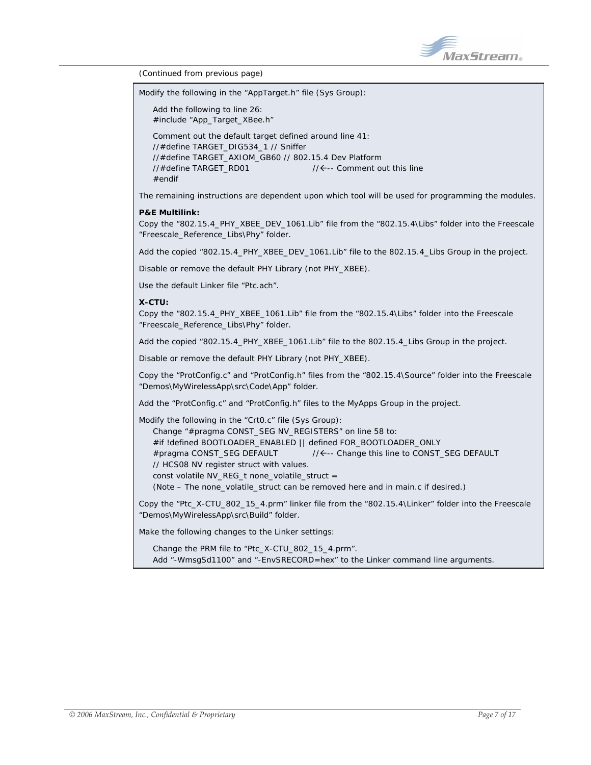

*(Continued from previous page)* 

Modify the following in the "AppTarget.h" file (Sys Group):

 Add the following to line 26: #include "App\_Target\_XBee.h" Comment out the default target defined around line 41: //#define TARGET\_DIG534\_1 // Sniffer //#define TARGET\_AXIOM\_GB60 // 802.15.4 Dev Platform  $1/4$ define TARGET\_RD01  $1/6$ -- Comment out this line #endif

The remaining instructions are dependent upon which tool will be used for programming the modules.

#### **P&E Multilink:**

Copy the "802.15.4\_PHY\_XBEE\_DEV\_1061.Lib" file from the "802.15.4\Libs" folder into the Freescale "Freescale\_Reference\_Libs\Phy" folder.

Add the copied "802.15.4 PHY\_XBEE\_DEV\_1061.Lib" file to the 802.15.4\_Libs Group in the project.

Disable or remove the default PHY Library (not PHY\_XBEE).

Use the default Linker file "Ptc.ach".

#### **X-CTU:**

Copy the "802.15.4\_PHY\_XBEE\_1061.Lib" file from the "802.15.4\Libs" folder into the Freescale "Freescale\_Reference\_Libs\Phy" folder.

Add the copied "802.15.4 PHY\_XBEE\_1061.Lib" file to the 802.15.4 Libs Group in the project.

Disable or remove the default PHY Library (not PHY\_XBEE).

Copy the "ProtConfig.c" and "ProtConfig.h" files from the "802.15.4\Source" folder into the Freescale "Demos\MyWirelessApp\src\Code\App" folder.

Add the "ProtConfig.c" and "ProtConfig.h" files to the MyApps Group in the project.

Modify the following in the "Crt0.c" file (Sys Group): Change "#pragma CONST\_SEG NV\_REGISTERS" on line 58 to: #if !defined BOOTLOADER\_ENABLED || defined FOR\_BOOTLOADER\_ONLY #pragma CONST\_SEG DEFAULT  $\sqrt{A}$ -- Change this line to CONST\_SEG DEFAULT // HCS08 NV register struct with values. const volatile NV\_REG\_t none\_volatile\_struct = (Note – The none\_volatile\_struct can be removed here and in main.c if desired.)

Copy the "Ptc\_X-CTU\_802\_15\_4.prm" linker file from the "802.15.4\Linker" folder into the Freescale "Demos\MyWirelessApp\src\Build" folder.

Make the following changes to the Linker settings:

 Change the PRM file to "Ptc\_X-CTU\_802\_15\_4.prm". Add "-WmsgSd1100" and "-EnvSRECORD=hex" to the Linker command line arguments.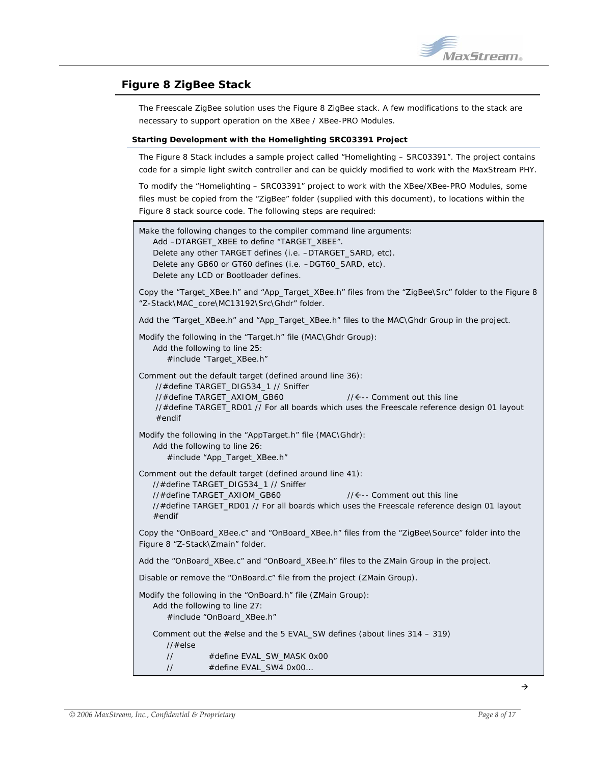## <span id="page-7-0"></span>**Figure 8 ZigBee Stack**

The Freescale ZigBee solution uses the Figure 8 ZigBee stack. A few modifications to the stack are necessary to support operation on the XBee / XBee-PRO Modules.

#### **Starting Development with the Homelighting SRC03391 Project**

The Figure 8 Stack includes a sample project called "Homelighting – SRC03391". The project contains code for a simple light switch controller and can be quickly modified to work with the MaxStream PHY.

To modify the "Homelighting – SRC03391" project to work with the XBee/XBee-PRO Modules, some files must be copied from the "ZigBee" folder (supplied with this document), to locations within the Figure 8 stack source code. The following steps are required:

|                                                                                                                                                                                                                                                                                        | Make the following changes to the compiler command line arguments:<br>Add -DTARGET_XBEE to define "TARGET_XBEE".<br>Delete any other TARGET defines (i.e. -DTARGET_SARD, etc).<br>Delete any GB60 or GT60 defines (i.e. -DGT60_SARD, etc).<br>Delete any LCD or Bootloader defines. |                                                                                                                                        |
|----------------------------------------------------------------------------------------------------------------------------------------------------------------------------------------------------------------------------------------------------------------------------------------|-------------------------------------------------------------------------------------------------------------------------------------------------------------------------------------------------------------------------------------------------------------------------------------|----------------------------------------------------------------------------------------------------------------------------------------|
| Copy the "Target_XBee.h" and "App_Target_XBee.h" files from the "ZigBee\Src" folder to the Figure 8<br>"Z-Stack\MAC_core\MC13192\Src\Ghdr" folder.                                                                                                                                     |                                                                                                                                                                                                                                                                                     |                                                                                                                                        |
| Add the "Target_XBee.h" and "App_Target_XBee.h" files to the MAC\Ghdr Group in the project.                                                                                                                                                                                            |                                                                                                                                                                                                                                                                                     |                                                                                                                                        |
|                                                                                                                                                                                                                                                                                        | Modify the following in the "Target.h" file (MAC\Ghdr Group):<br>Add the following to line 25:<br>#include "Target_XBee.h"                                                                                                                                                          |                                                                                                                                        |
| $#$ endif                                                                                                                                                                                                                                                                              | Comment out the default target (defined around line 36):<br>//#define TARGET_DIG534_1 // Sniffer<br>//#define TARGET_AXIOM_GB60                                                                                                                                                     | $1/\leftarrow$ -- Comment out this line<br>//#define TARGET_RD01 // For all boards which uses the Freescale reference design 01 layout |
| Modify the following in the "AppTarget.h" file (MAC\Ghdr):<br>Add the following to line 26:<br>#include "App_Target_XBee.h"                                                                                                                                                            |                                                                                                                                                                                                                                                                                     |                                                                                                                                        |
| Comment out the default target (defined around line 41):<br>//#define TARGET_DIG534_1 // Sniffer<br>//#define TARGET_AXIOM_GB60<br>$1/\leftarrow$ -- Comment out this line<br>//#define TARGET_RD01 // For all boards which uses the Freescale reference design 01 layout<br>$#$ endif |                                                                                                                                                                                                                                                                                     |                                                                                                                                        |
| Figure 8 "Z-Stack\Zmain" folder.                                                                                                                                                                                                                                                       |                                                                                                                                                                                                                                                                                     | Copy the "OnBoard_XBee.c" and "OnBoard_XBee.h" files from the "ZigBee\Source" folder into the                                          |
| Add the "OnBoard_XBee.c" and "OnBoard_XBee.h" files to the ZMain Group in the project.                                                                                                                                                                                                 |                                                                                                                                                                                                                                                                                     |                                                                                                                                        |
| Disable or remove the "OnBoard.c" file from the project (ZMain Group).                                                                                                                                                                                                                 |                                                                                                                                                                                                                                                                                     |                                                                                                                                        |
| Modify the following in the "OnBoard.h" file (ZMain Group):<br>Add the following to line 27:<br>#include "OnBoard_XBee.h"                                                                                                                                                              |                                                                                                                                                                                                                                                                                     |                                                                                                                                        |
| Comment out the #else and the 5 EVAL_SW defines (about lines 314 - 319)<br>//#else                                                                                                                                                                                                     |                                                                                                                                                                                                                                                                                     |                                                                                                                                        |
| $\frac{1}{2}$<br>$\frac{1}{2}$                                                                                                                                                                                                                                                         | #define EVAL_SW_MASK 0x00<br>#define EVAL_SW4 0x00                                                                                                                                                                                                                                  |                                                                                                                                        |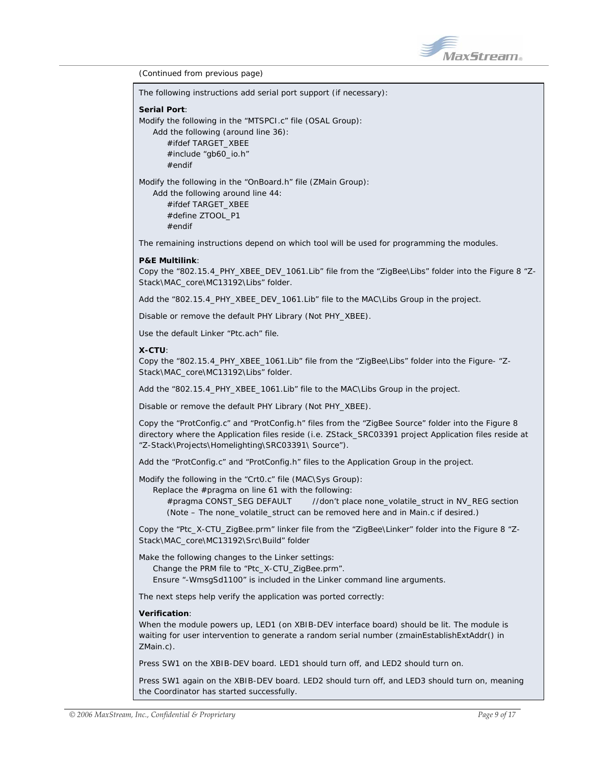

*(Continued from previous page)* 

| (Continued from previous page)                                                                                                                                                                                                                                                           |
|------------------------------------------------------------------------------------------------------------------------------------------------------------------------------------------------------------------------------------------------------------------------------------------|
| The following instructions add serial port support (if necessary):                                                                                                                                                                                                                       |
| <b>Serial Port:</b><br>Modify the following in the "MTSPCI.c" file (OSAL Group):<br>Add the following (around line 36):<br>#ifdef TARGET_XBEE<br>#include "gb60_io.h"<br>$#$ endif                                                                                                       |
| Modify the following in the "OnBoard.h" file (ZMain Group):<br>Add the following around line 44:<br>#ifdef TARGET XBEE<br>#define ZTOOL_P1<br>$#$ endif                                                                                                                                  |
| The remaining instructions depend on which tool will be used for programming the modules.                                                                                                                                                                                                |
| <b>P&amp;E Multilink:</b><br>-2" Copy the "802.15.4_PHY_XBEE_DEV_1061.Lib" file from the "ZigBee\Libs" folder into the Figure 8<br>Stack\MAC_core\MC13192\Libs" folder.                                                                                                                  |
| Add the "802.15.4_PHY_XBEE_DEV_1061.Lib" file to the MAC\Libs Group in the project.                                                                                                                                                                                                      |
| Disable or remove the default PHY Library (Not PHY_XBEE).                                                                                                                                                                                                                                |
| Use the default Linker "Ptc.ach" file.                                                                                                                                                                                                                                                   |
| X-CTU:<br>Copy the "802.15.4_PHY_XBEE_1061.Lib" file from the "ZigBee\Libs" folder into the Figure- "Z-<br>Stack\MAC_core\MC13192\Libs" folder.                                                                                                                                          |
| Add the "802.15.4_PHY_XBEE_1061.Lib" file to the MAC\Libs Group in the project.                                                                                                                                                                                                          |
| Disable or remove the default PHY Library (Not PHY_XBEE).                                                                                                                                                                                                                                |
| Copy the "ProtConfig.c" and "ProtConfig.h" files from the "ZigBee Source" folder into the Figure 8<br>directory where the Application files reside (i.e. ZStack_SRC03391 project Application files reside at<br>"Z-Stack\Projects\Homelighting\SRC03391\ Source").                       |
| Add the "ProtConfig.c" and "ProtConfig.h" files to the Application Group in the project.                                                                                                                                                                                                 |
| Modify the following in the "CrtO.c" file (MAC\Sys Group):<br>Replace the #pragma on line 61 with the following:<br>#pragma CONST_SEG DEFAULT<br>//don't place none_volatile_struct in NV_REG section<br>(Note - The none_volatile_struct can be removed here and in Main.c if desired.) |
| Copy the "Ptc_X-CTU_ZigBee.prm" linker file from the "ZigBee\Linker" folder into the Figure 8 "Z-<br>Stack\MAC_core\MC13192\Src\Build" folder                                                                                                                                            |
| Make the following changes to the Linker settings:<br>Change the PRM file to "Ptc_X-CTU_ZigBee.prm".<br>Ensure "-WmsgSd1100" is included in the Linker command line arguments.                                                                                                           |
| The next steps help verify the application was ported correctly:                                                                                                                                                                                                                         |
| <b>Verification:</b><br>When the module powers up, LED1 (on XBIB-DEV interface board) should be lit. The module is<br>waiting for user intervention to generate a random serial number (zmainEstablishExtAddr() in<br>ZMain.c).                                                          |
| Press SW1 on the XBIB-DEV board. LED1 should turn off, and LED2 should turn on.                                                                                                                                                                                                          |
| Press SW1 again on the XBIB-DEV board. LED2 should turn off, and LED3 should turn on, meaning                                                                                                                                                                                            |

the Coordinator has started successfully.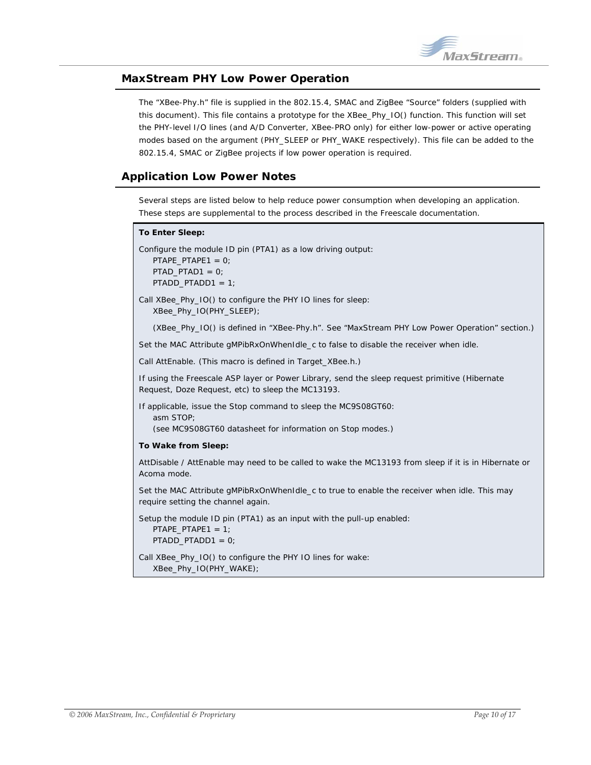

## <span id="page-9-0"></span>**MaxStream PHY Low Power Operation**

The "XBee-Phy.h" file is supplied in the 802.15.4, SMAC and ZigBee "Source" folders (supplied with this document). This file contains a prototype for the XBee\_Phy\_IO() function. This function will set the PHY-level I/O lines (and A/D Converter, XBee-PRO only) for either low-power or active operating modes based on the argument (PHY\_SLEEP or PHY\_WAKE respectively). This file can be added to the 802.15.4, SMAC or ZigBee projects if low power operation is required.

## **Application Low Power Notes**

Several steps are listed below to help reduce power consumption when developing an application. These steps are supplemental to the process described in the Freescale documentation.

#### **To Enter Sleep:**

Configure the module ID pin (PTA1) as a low driving output: PTAPE\_PTAPE1 = 0; PTAD\_PTAD1 = 0; PTADD\_PTADD1 = 1;

Call XBee\_Phy\_IO() to configure the PHY IO lines for sleep: XBee\_Phy\_IO(PHY\_SLEEP);

(XBee\_Phy\_IO() is defined in "XBee-Phy.h". See "MaxStream PHY Low Power Operation" section.)

Set the MAC Attribute gMPibRxOnWhenIdle\_c to false to disable the receiver when idle.

Call AttEnable. (This macro is defined in Target\_XBee.h.)

If using the Freescale ASP layer or Power Library, send the sleep request primitive (Hibernate Request, Doze Request, etc) to sleep the MC13193.

If applicable, issue the Stop command to sleep the MC9S08GT60:

asm STOP;

(see MC9S08GT60 datasheet for information on Stop modes.)

#### **To Wake from Sleep:**

AttDisable / AttEnable may need to be called to wake the MC13193 from sleep if it is in Hibernate or Acoma mode.

Set the MAC Attribute gMPibRxOnWhenIdle\_c to true to enable the receiver when idle. This may require setting the channel again.

Setup the module ID pin (PTA1) as an input with the pull-up enabled:

```
PTAPE\_PTAPE1 = 1;PTADD_PTADD1 = 0;
```
Call XBee\_Phy\_IO() to configure the PHY IO lines for wake: XBee\_Phy\_IO(PHY\_WAKE);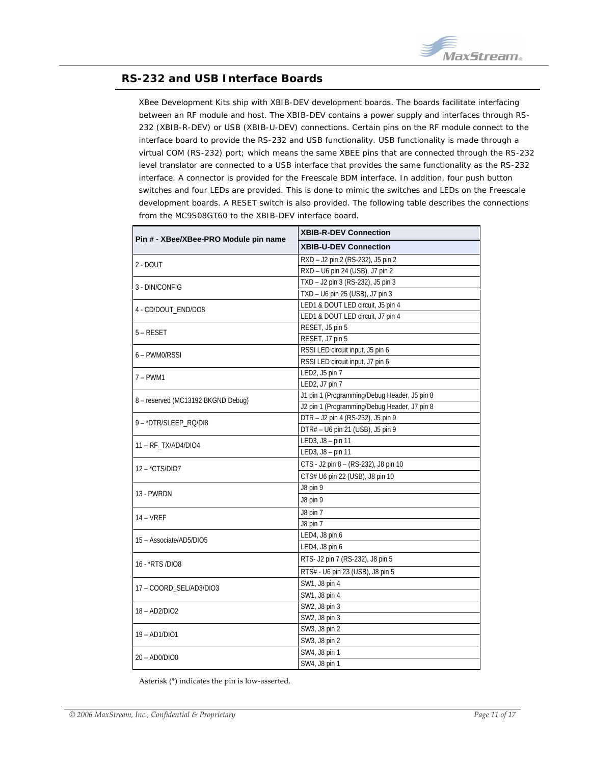

## <span id="page-10-0"></span>**RS-232 and USB Interface Boards**

XBee Development Kits ship with XBIB-DEV development boards. The boards facilitate interfacing between an RF module and host. The XBIB-DEV contains a power supply and interfaces through RS-232 (XBIB-R-DEV) or USB (XBIB-U-DEV) connections. Certain pins on the RF module connect to the interface board to provide the RS-232 and USB functionality. USB functionality is made through a virtual COM (RS-232) port; which means the same XBEE pins that are connected through the RS-232 level translator are connected to a USB interface that provides the same functionality as the RS-232 interface. A connector is provided for the Freescale BDM interface. In addition, four push button switches and four LEDs are provided. This is done to mimic the switches and LEDs on the Freescale development boards. A RESET switch is also provided. The following table describes the connections from the MC9S08GT60 to the XBIB-DEV interface board.

|                                       | <b>XBIB-R-DEV Connection</b>                 |  |  |
|---------------------------------------|----------------------------------------------|--|--|
| Pin # - XBee/XBee-PRO Module pin name | <b>XBIB-U-DEV Connection</b>                 |  |  |
| $2 - DOUT$                            | RXD - J2 pin 2 (RS-232), J5 pin 2            |  |  |
|                                       | RXD - U6 pin 24 (USB), J7 pin 2              |  |  |
| 3 - DIN/CONFIG                        | TXD - J2 pin 3 (RS-232), J5 pin 3            |  |  |
|                                       | TXD - U6 pin 25 (USB), J7 pin 3              |  |  |
| 4 - CD/DOUT END/DO8                   | LED1 & DOUT LED circuit, J5 pin 4            |  |  |
|                                       | LED1 & DOUT LED circuit, J7 pin 4            |  |  |
| 5 - RESET                             | RESET, J5 pin 5                              |  |  |
|                                       | RESET, J7 pin 5                              |  |  |
| 6 – PWM0/RSSI                         | RSSI LED circuit input, J5 pin 6             |  |  |
|                                       | RSSI LED circuit input, J7 pin 6             |  |  |
| 7 – PWM1                              | LED2, J5 pin 7                               |  |  |
|                                       | LED2, J7 pin 7                               |  |  |
| 8 - reserved (MC13192 BKGND Debug)    | J1 pin 1 (Programming/Debug Header, J5 pin 8 |  |  |
|                                       | J2 pin 1 (Programming/Debug Header, J7 pin 8 |  |  |
| 9 - *DTR/SLEEP_RQ/DI8                 | DTR - J2 pin 4 (RS-232), J5 pin 9            |  |  |
|                                       | DTR# - U6 pin 21 (USB), J5 pin 9             |  |  |
| 11 - RF_TX/AD4/DIO4                   | LED3, J8 - pin 11                            |  |  |
|                                       | LED3, J8 - pin 11                            |  |  |
| 12 - *CTS/DIO7                        | CTS - J2 pin 8 - (RS-232), J8 pin 10         |  |  |
|                                       | CTS# U6 pin 22 (USB), J8 pin 10              |  |  |
| 13 - PWRDN                            | J8 pin 9                                     |  |  |
|                                       | J8 pin 9                                     |  |  |
| 14 – VREF                             | J8 pin 7                                     |  |  |
|                                       | J8 pin 7                                     |  |  |
| 15 - Associate/AD5/DIO5               | LED4, J8 pin 6                               |  |  |
|                                       | LED4, J8 pin 6                               |  |  |
| 16 - *RTS /DIO8                       | RTS- J2 pin 7 (RS-232), J8 pin 5             |  |  |
|                                       | RTS# - U6 pin 23 (USB), J8 pin 5             |  |  |
| 17 - COORD_SEL/AD3/DIO3               | SW1, J8 pin 4                                |  |  |
|                                       | SW1, J8 pin 4                                |  |  |
| 18 - AD2/DIO2                         | SW2, J8 pin 3                                |  |  |
|                                       | SW2, J8 pin 3                                |  |  |
| 19 - AD1/DIO1                         | SW3, J8 pin 2                                |  |  |
|                                       | SW3, J8 pin 2                                |  |  |
| 20 - AD0/DIO0                         | SW4, J8 pin 1                                |  |  |
|                                       | SW4, J8 pin 1                                |  |  |

Asterisk (\*) indicates the pin is low‐asserted.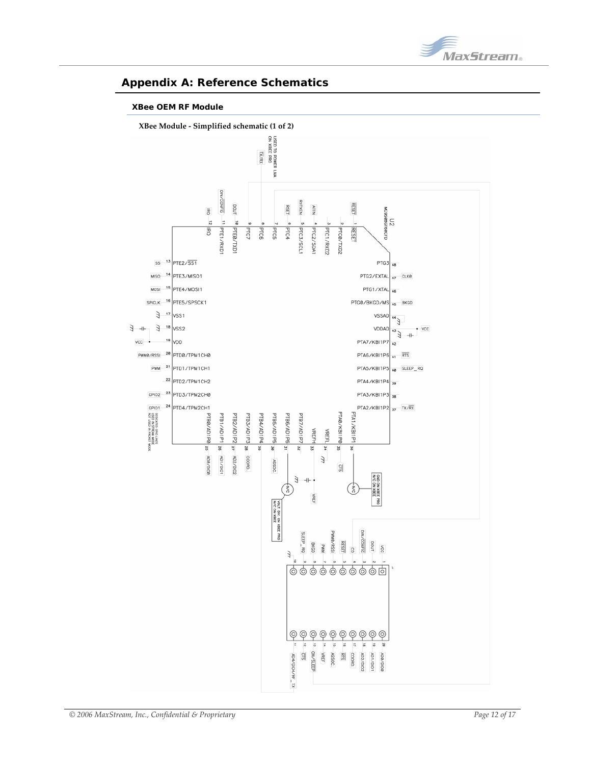

## <span id="page-11-0"></span>**Appendix A: Reference Schematics**

#### **XBee OEM RF Module**

<span id="page-11-1"></span>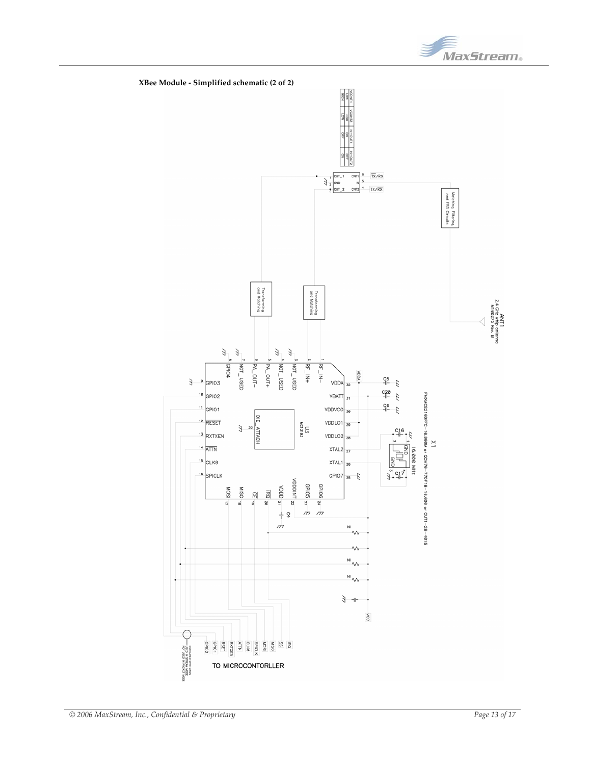

MaxStream.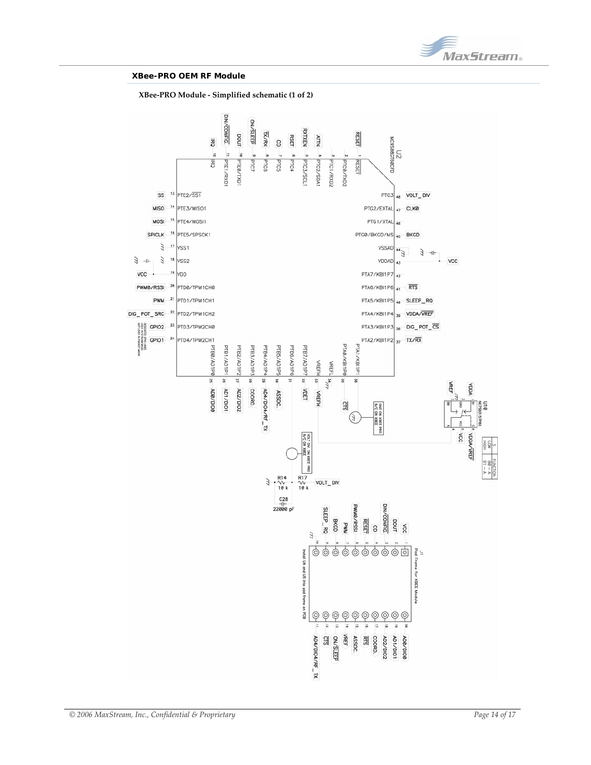

#### **XBee-PRO OEM RF Module**

**XBee‐PRO Module ‐ Simplified schematic (1 of 2)** 

<span id="page-13-0"></span>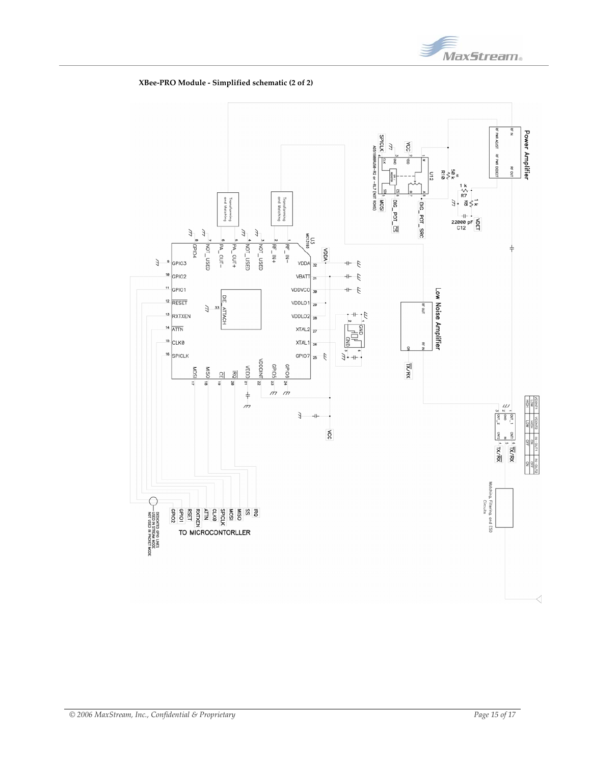



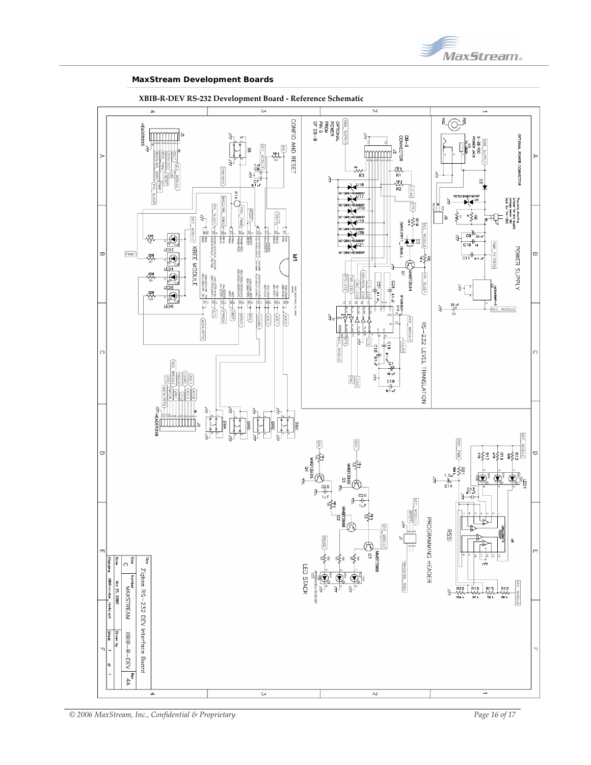

#### **MaxStream Development Boards**



**XBIB‐R‐DEV RS‐232 Development Board ‐ Reference Schematic**